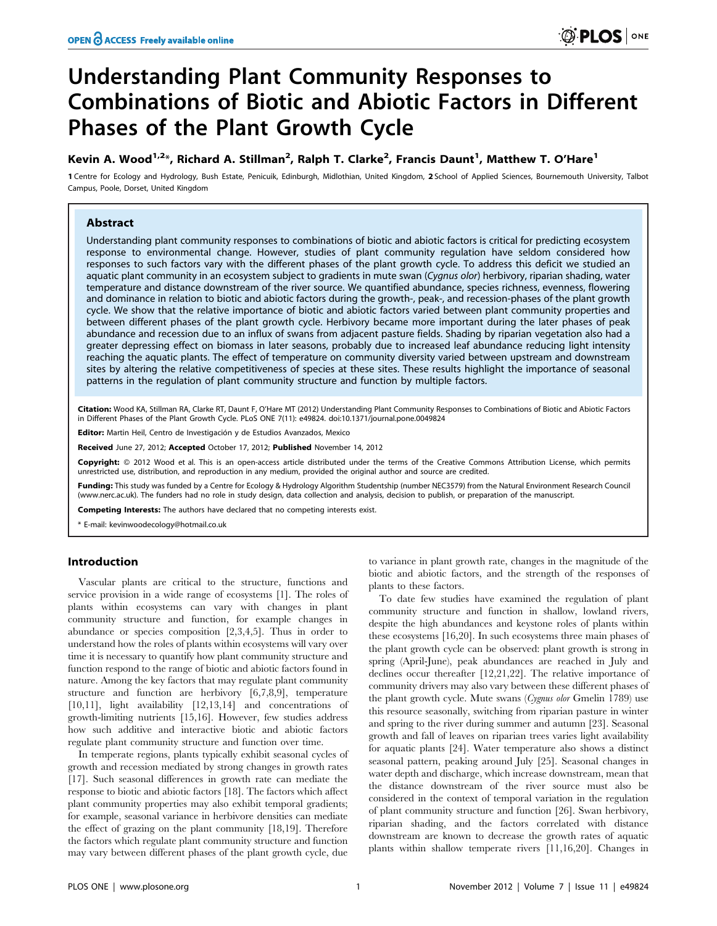# Understanding Plant Community Responses to Combinations of Biotic and Abiotic Factors in Different Phases of the Plant Growth Cycle

## Kevin A. Wood<sup>1,2</sup>\*, Richard A. Stillman<sup>2</sup>, Ralph T. Clarke<sup>2</sup>, Francis Daunt<sup>1</sup>, Matthew T. O'Hare<sup>1</sup>

1 Centre for Ecology and Hydrology, Bush Estate, Penicuik, Edinburgh, Midlothian, United Kingdom, 2 School of Applied Sciences, Bournemouth University, Talbot Campus, Poole, Dorset, United Kingdom

## Abstract

Understanding plant community responses to combinations of biotic and abiotic factors is critical for predicting ecosystem response to environmental change. However, studies of plant community regulation have seldom considered how responses to such factors vary with the different phases of the plant growth cycle. To address this deficit we studied an aquatic plant community in an ecosystem subject to gradients in mute swan (Cygnus olor) herbivory, riparian shading, water temperature and distance downstream of the river source. We quantified abundance, species richness, evenness, flowering and dominance in relation to biotic and abiotic factors during the growth-, peak-, and recession-phases of the plant growth cycle. We show that the relative importance of biotic and abiotic factors varied between plant community properties and between different phases of the plant growth cycle. Herbivory became more important during the later phases of peak abundance and recession due to an influx of swans from adjacent pasture fields. Shading by riparian vegetation also had a greater depressing effect on biomass in later seasons, probably due to increased leaf abundance reducing light intensity reaching the aquatic plants. The effect of temperature on community diversity varied between upstream and downstream sites by altering the relative competitiveness of species at these sites. These results highlight the importance of seasonal patterns in the regulation of plant community structure and function by multiple factors.

Citation: Wood KA, Stillman RA, Clarke RT, Daunt F, O'Hare MT (2012) Understanding Plant Community Responses to Combinations of Biotic and Abiotic Factors in Different Phases of the Plant Growth Cycle. PLoS ONE 7(11): e49824. doi:10.1371/journal.pone.0049824

Editor: Martin Heil, Centro de Investigación y de Estudios Avanzados, Mexico

Received June 27, 2012; Accepted October 17, 2012; Published November 14, 2012

Copyright: © 2012 Wood et al. This is an open-access article distributed under the terms of the Creative Commons Attribution License, which permits unrestricted use, distribution, and reproduction in any medium, provided the original author and source are credited.

Funding: This study was funded by a Centre for Ecology & Hydrology Algorithm Studentship (number NEC3579) from the Natural Environment Research Council (www.nerc.ac.uk). The funders had no role in study design, data collection and analysis, decision to publish, or preparation of the manuscript.

Competing Interests: The authors have declared that no competing interests exist.

\* E-mail: kevinwoodecology@hotmail.co.uk

## Introduction

Vascular plants are critical to the structure, functions and service provision in a wide range of ecosystems [1]. The roles of plants within ecosystems can vary with changes in plant community structure and function, for example changes in abundance or species composition [2,3,4,5]. Thus in order to understand how the roles of plants within ecosystems will vary over time it is necessary to quantify how plant community structure and function respond to the range of biotic and abiotic factors found in nature. Among the key factors that may regulate plant community structure and function are herbivory [6,7,8,9], temperature [10,11], light availability [12,13,14] and concentrations of growth-limiting nutrients [15,16]. However, few studies address how such additive and interactive biotic and abiotic factors regulate plant community structure and function over time.

In temperate regions, plants typically exhibit seasonal cycles of growth and recession mediated by strong changes in growth rates [17]. Such seasonal differences in growth rate can mediate the response to biotic and abiotic factors [18]. The factors which affect plant community properties may also exhibit temporal gradients; for example, seasonal variance in herbivore densities can mediate the effect of grazing on the plant community [18,19]. Therefore the factors which regulate plant community structure and function may vary between different phases of the plant growth cycle, due

to variance in plant growth rate, changes in the magnitude of the biotic and abiotic factors, and the strength of the responses of plants to these factors.

To date few studies have examined the regulation of plant community structure and function in shallow, lowland rivers, despite the high abundances and keystone roles of plants within these ecosystems [16,20]. In such ecosystems three main phases of the plant growth cycle can be observed: plant growth is strong in spring (April-June), peak abundances are reached in July and declines occur thereafter [12,21,22]. The relative importance of community drivers may also vary between these different phases of the plant growth cycle. Mute swans (Cygnus olor Gmelin 1789) use this resource seasonally, switching from riparian pasture in winter and spring to the river during summer and autumn [23]. Seasonal growth and fall of leaves on riparian trees varies light availability for aquatic plants [24]. Water temperature also shows a distinct seasonal pattern, peaking around July [25]. Seasonal changes in water depth and discharge, which increase downstream, mean that the distance downstream of the river source must also be considered in the context of temporal variation in the regulation of plant community structure and function [26]. Swan herbivory, riparian shading, and the factors correlated with distance downstream are known to decrease the growth rates of aquatic plants within shallow temperate rivers [11,16,20]. Changes in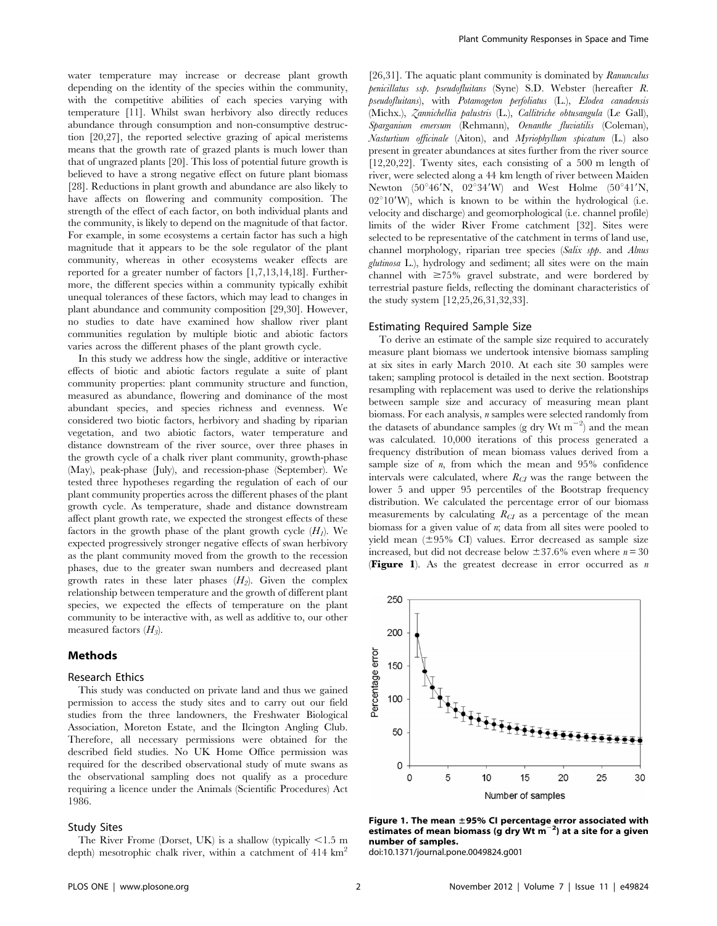water temperature may increase or decrease plant growth depending on the identity of the species within the community, with the competitive abilities of each species varying with temperature [11]. Whilst swan herbivory also directly reduces abundance through consumption and non-consumptive destruction [20,27], the reported selective grazing of apical meristems means that the growth rate of grazed plants is much lower than that of ungrazed plants [20]. This loss of potential future growth is believed to have a strong negative effect on future plant biomass [28]. Reductions in plant growth and abundance are also likely to have affects on flowering and community composition. The strength of the effect of each factor, on both individual plants and the community, is likely to depend on the magnitude of that factor. For example, in some ecosystems a certain factor has such a high magnitude that it appears to be the sole regulator of the plant community, whereas in other ecosystems weaker effects are reported for a greater number of factors [1,7,13,14,18]. Furthermore, the different species within a community typically exhibit unequal tolerances of these factors, which may lead to changes in plant abundance and community composition [29,30]. However, no studies to date have examined how shallow river plant communities regulation by multiple biotic and abiotic factors varies across the different phases of the plant growth cycle.

In this study we address how the single, additive or interactive effects of biotic and abiotic factors regulate a suite of plant community properties: plant community structure and function, measured as abundance, flowering and dominance of the most abundant species, and species richness and evenness. We considered two biotic factors, herbivory and shading by riparian vegetation, and two abiotic factors, water temperature and distance downstream of the river source, over three phases in the growth cycle of a chalk river plant community, growth-phase (May), peak-phase (July), and recession-phase (September). We tested three hypotheses regarding the regulation of each of our plant community properties across the different phases of the plant growth cycle. As temperature, shade and distance downstream affect plant growth rate, we expected the strongest effects of these factors in the growth phase of the plant growth cycle  $(H_1)$ . We expected progressively stronger negative effects of swan herbivory as the plant community moved from the growth to the recession phases, due to the greater swan numbers and decreased plant growth rates in these later phases  $(H_2)$ . Given the complex relationship between temperature and the growth of different plant species, we expected the effects of temperature on the plant community to be interactive with, as well as additive to, our other measured factors  $(H_3)$ .

#### Methods

#### Research Ethics

This study was conducted on private land and thus we gained permission to access the study sites and to carry out our field studies from the three landowners, the Freshwater Biological Association, Moreton Estate, and the Ilcington Angling Club. Therefore, all necessary permissions were obtained for the described field studies. No UK Home Office permission was required for the described observational study of mute swans as the observational sampling does not qualify as a procedure requiring a licence under the Animals (Scientific Procedures) Act 1986.

#### Study Sites

The River Frome (Dorset, UK) is a shallow (typically  $\leq 1.5$  m depth) mesotrophic chalk river, within a catchment of  $414 \text{ km}^2$ 

[26,31]. The aquatic plant community is dominated by Ranunculus penicillatus ssp. pseudofluitans (Syne) S.D. Webster (hereafter R. pseudofluitans), with Potamogeton perfoliatus (L.), Elodea canadensis (Michx.), Zannichellia palustris (L.), Callitriche obtusangula (Le Gall), Sparganium emersum (Rehmann), Oenanthe fluviatilis (Coleman), Nasturtium officinale (Aiton), and Myriophyllum spicatum (L.) also present in greater abundances at sites further from the river source [12,20,22]. Twenty sites, each consisting of a 500 m length of river, were selected along a 44 km length of river between Maiden Newton  $(50^{\circ}46^{\prime}N, 02^{\circ}34^{\prime}W)$  and West Holme  $(50^{\circ}41^{\prime}N,$  $02^{\circ}10'$ W), which is known to be within the hydrological (i.e. velocity and discharge) and geomorphological (i.e. channel profile) limits of the wider River Frome catchment [32]. Sites were selected to be representative of the catchment in terms of land use, channel morphology, riparian tree species (Salix spp. and Alnus glutinosa L.), hydrology and sediment; all sites were on the main channel with  $\geq 75\%$  gravel substrate, and were bordered by terrestrial pasture fields, reflecting the dominant characteristics of the study system [12,25,26,31,32,33].

#### Estimating Required Sample Size

To derive an estimate of the sample size required to accurately measure plant biomass we undertook intensive biomass sampling at six sites in early March 2010. At each site 30 samples were taken; sampling protocol is detailed in the next section. Bootstrap resampling with replacement was used to derive the relationships between sample size and accuracy of measuring mean plant biomass. For each analysis, n samples were selected randomly from the datasets of abundance samples (g dry Wt  $m^{-2}$ ) and the mean was calculated. 10,000 iterations of this process generated a frequency distribution of mean biomass values derived from a sample size of  $n$ , from which the mean and 95% confidence intervals were calculated, where  $R_{CI}$  was the range between the lower 5 and upper 95 percentiles of the Bootstrap frequency distribution. We calculated the percentage error of our biomass measurements by calculating  $R_{CI}$  as a percentage of the mean biomass for a given value of n; data from all sites were pooled to yield mean  $(\pm 95\% \text{ CI})$  values. Error decreased as sample size increased, but did not decrease below  $\pm 37.6\%$  even where  $n = 30$ **(Figure 1).** As the greatest decrease in error occurred as  $n$ 



Figure 1. The mean ±95% CI percentage error associated with estimates of mean biomass (g dry Wt  $m^{-2}$ ) at a site for a given number of samples.

doi:10.1371/journal.pone.0049824.g001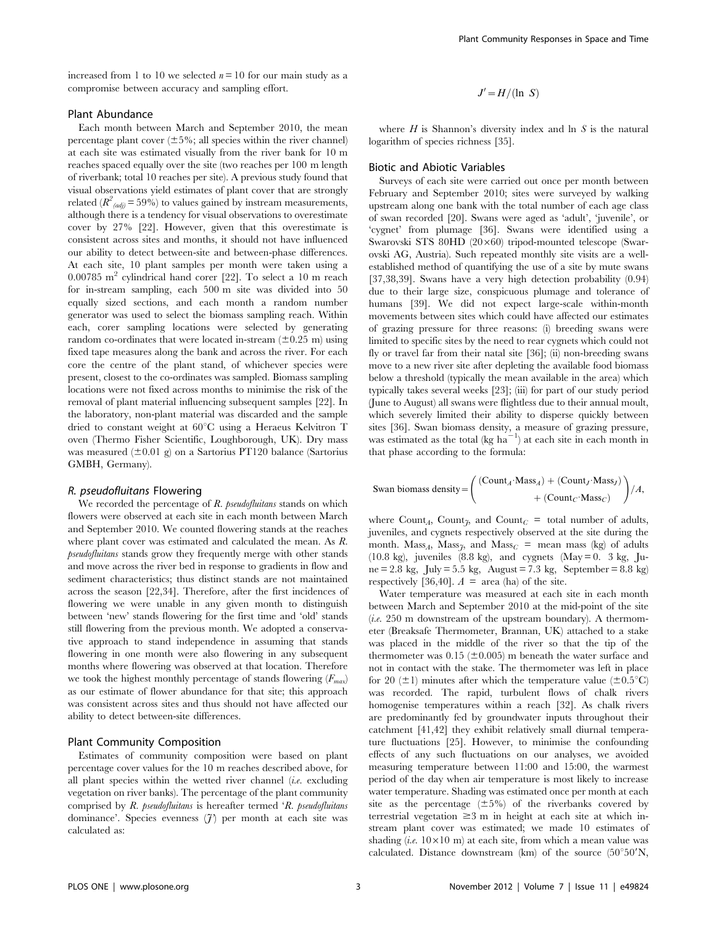increased from 1 to 10 we selected  $n = 10$  for our main study as a compromise between accuracy and sampling effort.

## Plant Abundance

Each month between March and September 2010, the mean percentage plant cover  $(\pm 5\%;$  all species within the river channel) at each site was estimated visually from the river bank for 10 m reaches spaced equally over the site (two reaches per 100 m length of riverbank; total 10 reaches per site). A previous study found that visual observations yield estimates of plant cover that are strongly related ( $R^2_{(adj)}$  = 59%) to values gained by instream measurements, although there is a tendency for visual observations to overestimate cover by 27% [22]. However, given that this overestimate is consistent across sites and months, it should not have influenced our ability to detect between-site and between-phase differences. At each site, 10 plant samples per month were taken using a  $0.00785$  m<sup>2</sup> cylindrical hand corer [22]. To select a 10 m reach for in-stream sampling, each 500 m site was divided into 50 equally sized sections, and each month a random number generator was used to select the biomass sampling reach. Within each, corer sampling locations were selected by generating random co-ordinates that were located in-stream  $(\pm 0.25 \text{ m})$  using fixed tape measures along the bank and across the river. For each core the centre of the plant stand, of whichever species were present, closest to the co-ordinates was sampled. Biomass sampling locations were not fixed across months to minimise the risk of the removal of plant material influencing subsequent samples [22]. In the laboratory, non-plant material was discarded and the sample dried to constant weight at 60°C using a Heraeus Kelvitron T oven (Thermo Fisher Scientific, Loughborough, UK). Dry mass was measured  $(\pm 0.01 \text{ g})$  on a Sartorius PT120 balance (Sartorius GMBH, Germany).

## R. pseudofluitans Flowering

We recorded the percentage of  $R$ .  $pseudofluitans$  stands on which flowers were observed at each site in each month between March and September 2010. We counted flowering stands at the reaches where plant cover was estimated and calculated the mean. As R. pseudofluitans stands grow they frequently merge with other stands and move across the river bed in response to gradients in flow and sediment characteristics; thus distinct stands are not maintained across the season [22,34]. Therefore, after the first incidences of flowering we were unable in any given month to distinguish between 'new' stands flowering for the first time and 'old' stands still flowering from the previous month. We adopted a conservative approach to stand independence in assuming that stands flowering in one month were also flowering in any subsequent months where flowering was observed at that location. Therefore we took the highest monthly percentage of stands flowering  $(F_{max})$ as our estimate of flower abundance for that site; this approach was consistent across sites and thus should not have affected our ability to detect between-site differences.

#### Plant Community Composition

Estimates of community composition were based on plant percentage cover values for the 10 m reaches described above, for all plant species within the wetted river channel (i.e. excluding vegetation on river banks). The percentage of the plant community comprised by  $R$ . pseudofluitans is hereafter termed ' $R$ . pseudofluitans dominance'. Species evenness  $(\tilde{f})$  per month at each site was calculated as:

$$
J'=H/(\ln S)
$$

where  $H$  is Shannon's diversity index and  $\ln S$  is the natural logarithm of species richness [35].

#### Biotic and Abiotic Variables

Surveys of each site were carried out once per month between February and September 2010; sites were surveyed by walking upstream along one bank with the total number of each age class of swan recorded [20]. Swans were aged as 'adult', 'juvenile', or 'cygnet' from plumage [36]. Swans were identified using a Swarovski STS 80HD  $(20\times60)$  tripod-mounted telescope (Swarovski AG, Austria). Such repeated monthly site visits are a wellestablished method of quantifying the use of a site by mute swans [37,38,39]. Swans have a very high detection probability (0.94) due to their large size, conspicuous plumage and tolerance of humans [39]. We did not expect large-scale within-month movements between sites which could have affected our estimates of grazing pressure for three reasons: (i) breeding swans were limited to specific sites by the need to rear cygnets which could not fly or travel far from their natal site [36]; (ii) non-breeding swans move to a new river site after depleting the available food biomass below a threshold (typically the mean available in the area) which typically takes several weeks [23]; (iii) for part of our study period (June to August) all swans were flightless due to their annual moult, which severely limited their ability to disperse quickly between sites [36]. Swan biomass density, a measure of grazing pressure, was estimated as the total (kg ha<sup>-1</sup>) at each site in each month in that phase according to the formula:

Swan biomass density=
$$
\begin{pmatrix} (Count_A \cdot Mass_A) + (Count_J \cdot Mass_J) + (Count_C \cdot Mass_C) \end{pmatrix} / A,
$$

where Count<sub>A</sub>, Count<sub> $\tilde{\tau}$ </sub>, and Count<sub>C</sub> = total number of adults, juveniles, and cygnets respectively observed at the site during the month. Mass<sub>A</sub>, Mass<sub>7</sub>, and Mass<sub>C</sub> = mean mass (kg) of adults  $(10.8 \text{ kg})$ , juveniles  $(8.8 \text{ kg})$ , and cygnets  $(\text{May} = 0.3 \text{ kg}, \text{Ju} = 0.000)$ ne = 2.8 kg, July = 5.5 kg, August = 7.3 kg, September = 8.8 kg) respectively [36,40].  $A = \text{area (ha)}$  of the site.

Water temperature was measured at each site in each month between March and September 2010 at the mid-point of the site (*i.e.* 250 m downstream of the upstream boundary). A thermometer (Breaksafe Thermometer, Brannan, UK) attached to a stake was placed in the middle of the river so that the tip of the thermometer was  $0.15$  ( $\pm 0.005$ ) m beneath the water surface and not in contact with the stake. The thermometer was left in place for 20 ( $\pm$ 1) minutes after which the temperature value ( $\pm$ 0.5°C) was recorded. The rapid, turbulent flows of chalk rivers homogenise temperatures within a reach [32]. As chalk rivers are predominantly fed by groundwater inputs throughout their catchment [41,42] they exhibit relatively small diurnal temperature fluctuations [25]. However, to minimise the confounding effects of any such fluctuations on our analyses, we avoided measuring temperature between 11:00 and 15:00, the warmest period of the day when air temperature is most likely to increase water temperature. Shading was estimated once per month at each site as the percentage  $(\pm 5\%)$  of the riverbanks covered by terrestrial vegetation  $\geq 3$  m in height at each site at which instream plant cover was estimated; we made 10 estimates of shading (*i.e.*  $10 \times 10$  m) at each site, from which a mean value was calculated. Distance downstream (km) of the source  $(50^{\circ}50^{\prime})$ N,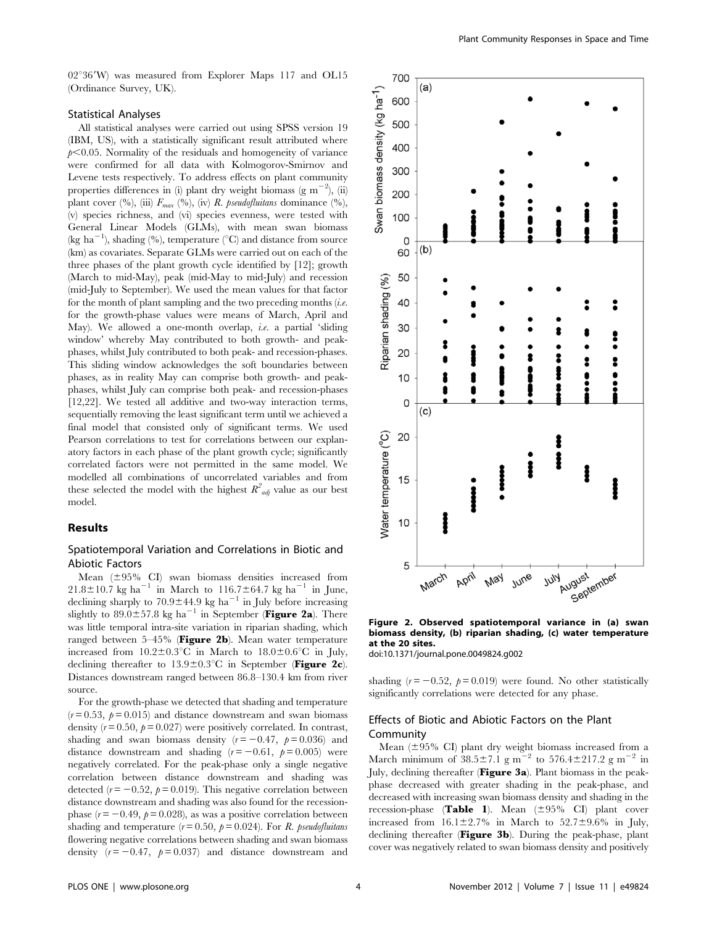$02^{\circ}36'$ W) was measured from Explorer Maps 117 and OL15 (Ordinance Survey, UK).

## Statistical Analyses

All statistical analyses were carried out using SPSS version 19 (IBM, US), with a statistically significant result attributed where  $p<0.05$ . Normality of the residuals and homogeneity of variance were confirmed for all data with Kolmogorov-Smirnov and Levene tests respectively. To address effects on plant community properties differences in (i) plant dry weight biomass (g m<sup>-2</sup>), (ii) plant cover (%), (iii)  $F_{max}$  (%), (iv) R. pseudofluitans dominance (%), (v) species richness, and (vi) species evenness, were tested with General Linear Models (GLMs), with mean swan biomass (kg ha<sup>-1</sup>), shading (%), temperature (°C) and distance from source (km) as covariates. Separate GLMs were carried out on each of the three phases of the plant growth cycle identified by [12]; growth (March to mid-May), peak (mid-May to mid-July) and recession (mid-July to September). We used the mean values for that factor for the month of plant sampling and the two preceding months  $(i.e.$ for the growth-phase values were means of March, April and May). We allowed a one-month overlap, *i.e.* a partial 'sliding' window' whereby May contributed to both growth- and peakphases, whilst July contributed to both peak- and recession-phases. This sliding window acknowledges the soft boundaries between phases, as in reality May can comprise both growth- and peakphases, whilst July can comprise both peak- and recession-phases [12,22]. We tested all additive and two-way interaction terms, sequentially removing the least significant term until we achieved a final model that consisted only of significant terms. We used Pearson correlations to test for correlations between our explanatory factors in each phase of the plant growth cycle; significantly correlated factors were not permitted in the same model. We modelled all combinations of uncorrelated variables and from these selected the model with the highest  $R^2_{adj}$  value as our best model.

### Results

## Spatiotemporal Variation and Correlations in Biotic and Abiotic Factors

Mean  $(\pm 95\%$  CI) swan biomass densities increased from  $21.8 \pm 10.7$  kg ha<sup>-1</sup> in March to 116.7 $\pm$ 64.7 kg ha<sup>-1</sup> in June, declining sharply to  $70.9 \pm 44.9$  kg ha<sup>-1</sup> in July before increasing slightly to  $89.0 \pm 57.8$  kg ha<sup>-1</sup> in September (Figure 2a). There was little temporal intra-site variation in riparian shading, which ranged between 5–45% (Figure 2b). Mean water temperature increased from  $10.2 \pm 0.3$ °C in March to  $18.0 \pm 0.6$ °C in July, declining thereafter to  $13.9 \pm 0.3^{\circ}$ C in September (Figure 2c). Distances downstream ranged between 86.8–130.4 km from river source.

For the growth-phase we detected that shading and temperature  $(r=0.53, p=0.015)$  and distance downstream and swan biomass density ( $r = 0.50$ ,  $p = 0.027$ ) were positively correlated. In contrast, shading and swan biomass density  $(r = -0.47, p = 0.036)$  and distance downstream and shading  $(r = -0.61, p = 0.005)$  were negatively correlated. For the peak-phase only a single negative correlation between distance downstream and shading was detected ( $r = -0.52$ ,  $p = 0.019$ ). This negative correlation between distance downstream and shading was also found for the recessionphase  $(r = -0.49, p = 0.028)$ , as was a positive correlation between shading and temperature  $(r=0.50, p=0.024)$ . For R. pseudofluitans flowering negative correlations between shading and swan biomass density  $(r = -0.47, p = 0.037)$  and distance downstream and



Figure 2. Observed spatiotemporal variance in (a) swan biomass density, (b) riparian shading, (c) water temperature at the 20 sites.

doi:10.1371/journal.pone.0049824.g002

shading  $(r = -0.52, p = 0.019)$  were found. No other statistically significantly correlations were detected for any phase.

## Effects of Biotic and Abiotic Factors on the Plant Community

Mean  $(\pm 95\%$  CI) plant dry weight biomass increased from a March minimum of  $38.5 \pm 7.1$  g m<sup>-2</sup> to  $576.4 \pm 217.2$  g m<sup>-2</sup> in July, declining thereafter (Figure 3a). Plant biomass in the peakphase decreased with greater shading in the peak-phase, and decreased with increasing swan biomass density and shading in the recession-phase (Table 1). Mean  $(\pm 95\% \text{ CI})$  plant cover increased from  $16.1\pm2.7\%$  in March to  $52.7\pm9.6\%$  in July, declining thereafter (Figure 3b). During the peak-phase, plant cover was negatively related to swan biomass density and positively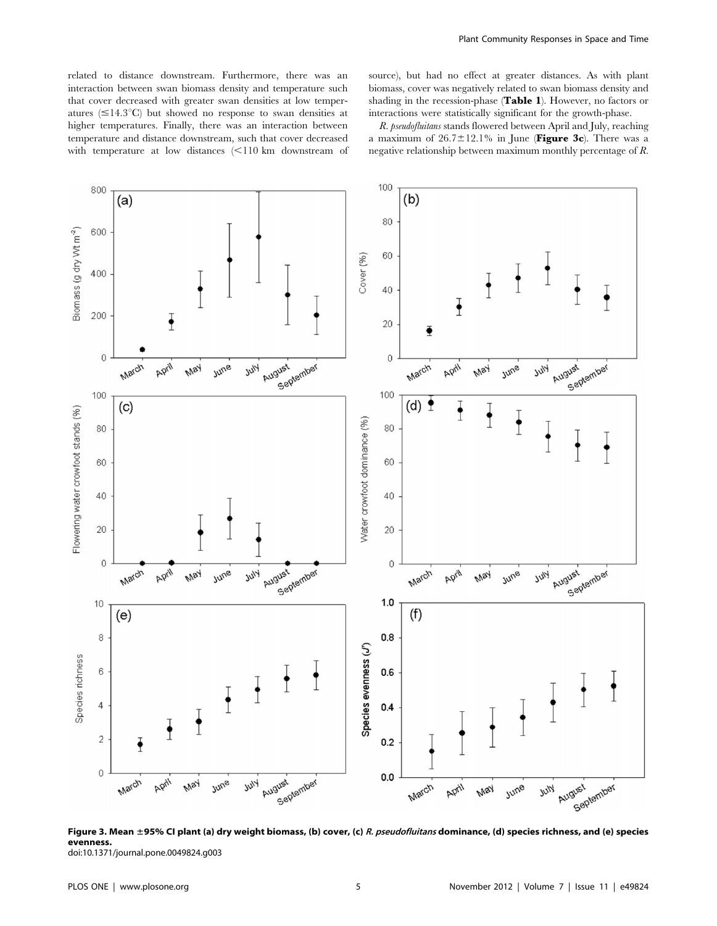related to distance downstream. Furthermore, there was an interaction between swan biomass density and temperature such that cover decreased with greater swan densities at low temperatures  $(\leq 14.3^{\circ}C)$  but showed no response to swan densities at higher temperatures. Finally, there was an interaction between temperature and distance downstream, such that cover decreased with temperature at low distances  $\leq 110$  km downstream of source), but had no effect at greater distances. As with plant biomass, cover was negatively related to swan biomass density and shading in the recession-phase (Table 1). However, no factors or interactions were statistically significant for the growth-phase.

R. pseudofluitans stands flowered between April and July, reaching a maximum of  $26.7 \pm 12.1\%$  in June (Figure 3c). There was a negative relationship between maximum monthly percentage of R.



Figure 3. Mean ±95% CI plant (a) dry weight biomass, (b) cover, (c) R. pseudofluitans dominance, (d) species richness, and (e) species evenness. doi:10.1371/journal.pone.0049824.g003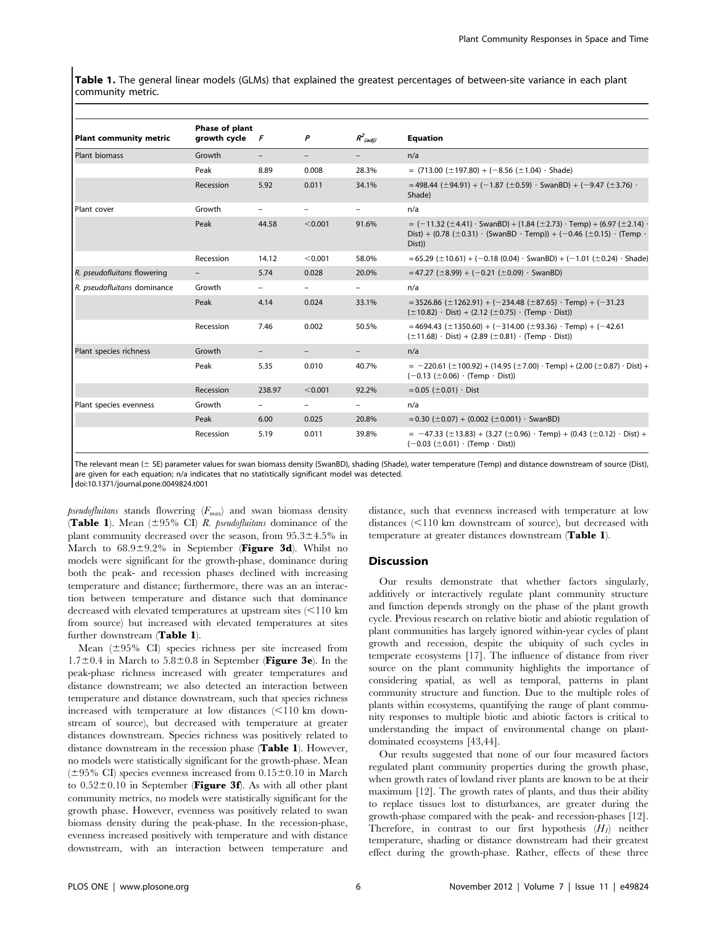Table 1. The general linear models (GLMs) that explained the greatest percentages of between-site variance in each plant community metric.

| <b>Plant community metric</b> | <b>Phase of plant</b><br>growth cycle $F$ |                          | P                        | $R^2$ <sub>(adi)</sub> | <b>Equation</b>                                                                                                                                                                                                        |
|-------------------------------|-------------------------------------------|--------------------------|--------------------------|------------------------|------------------------------------------------------------------------------------------------------------------------------------------------------------------------------------------------------------------------|
| <b>Plant biomass</b>          | Growth                                    | $\overline{\phantom{0}}$ | $\overline{\phantom{0}}$ |                        | n/a                                                                                                                                                                                                                    |
|                               | Peak                                      | 8.89                     | 0.008                    | 28.3%                  | $=$ (713.00 ( $\pm$ 197.80) + (-8.56 ( $\pm$ 1.04) · Shade)                                                                                                                                                            |
|                               | Recession                                 | 5.92                     | 0.011                    | 34.1%                  | $=$ 498.44 ( $\pm$ 94.91) + (-1.87 ( $\pm$ 0.59) · SwanBD) + (-9.47 ( $\pm$ 3.76) ·<br>Shade)                                                                                                                          |
| Plant cover                   | Growth                                    | Ξ.                       | Ξ.                       | $-$                    | n/a                                                                                                                                                                                                                    |
|                               | Peak                                      | 44.58                    | < 0.001                  | 91.6%                  | $= (-11.32 \ (\pm 4.41) \cdot \text{SwanBD}) + (1.84 \ (\pm 2.73) \cdot \text{Temp}) + (6.97 \ (\pm 2.14) \cdot \text{F}$<br>Dist) + (0.78 ( $\pm$ 0.31) · (SwanBD · Temp)) + (-0.46 ( $\pm$ 0.15) · (Temp ·<br>Dist)) |
|                               | Recession                                 | 14.12                    | < 0.001                  | 58.0%                  | $= 65.29 \ (\pm 10.61) + (-0.18 \ (0.04) \cdot SwanBD) + (-1.01 \ (\pm 0.24) \cdot Shade)$                                                                                                                             |
| R. pseudofluitans flowering   | $\overline{\phantom{0}}$                  | 5.74                     | 0.028                    | 20.0%                  | $=$ 47.27 ( $\pm$ 8.99) + (-0.21 ( $\pm$ 0.09) · SwanBD)                                                                                                                                                               |
| R. pseudofluitans dominance   | Growth                                    | $\overline{\phantom{0}}$ | $\overline{\phantom{0}}$ | $-$                    | n/a                                                                                                                                                                                                                    |
|                               | Peak                                      | 4.14                     | 0.024                    | 33.1%                  | $=$ 3526.86 ( $\pm$ 1262.91) + (-234.48 ( $\pm$ 87.65) · Temp) + (-31.23<br>$(\pm 10.82) \cdot Dist$ + (2.12 ( $\pm 0.75$ ) · (Temp · Dist))                                                                           |
|                               | Recession                                 | 7.46                     | 0.002                    | 50.5%                  | $= 4694.43$ ( $\pm$ 1350.60) + (-314.00 ( $\pm$ 93.36) · Temp) + (-42.61<br>$(\pm 11.68) \cdot Dist$ + (2.89 ( $\pm 0.81$ ) · (Temp · Dist))                                                                           |
| Plant species richness        | Growth                                    | $\qquad \qquad -$        | $\overline{\phantom{0}}$ | $\qquad \qquad -$      | n/a                                                                                                                                                                                                                    |
|                               | Peak                                      | 5.35                     | 0.010                    | 40.7%                  | $= -220.61 (\pm 100.92) + (14.95 (\pm 7.00) \cdot Temp) + (2.00 (\pm 0.87) \cdot Dist) +$<br>$(-0.13 (\pm 0.06) \cdot (Temp \cdot Dist))$                                                                              |
|                               | Recession                                 | 238.97                   | < 0.001                  | 92.2%                  | $= 0.05$ ( $\pm 0.01$ ) · Dist                                                                                                                                                                                         |
| Plant species evenness        | Growth                                    | $\overline{\phantom{0}}$ | $\overline{\phantom{0}}$ | $ \,$                  | n/a                                                                                                                                                                                                                    |
|                               | Peak                                      | 6.00                     | 0.025                    | 20.8%                  | $= 0.30$ (±0.07) + (0.002 (±0.001) · SwanBD)                                                                                                                                                                           |
|                               | Recession                                 | 5.19                     | 0.011                    | 39.8%                  | $= -47.33 \ (\pm 13.83) + (3.27 \ (\pm 0.96) \cdot \text{Temp}) + (0.43 \ (\pm 0.12) \cdot \text{Dist}) +$<br>$(-0.03 (\pm 0.01) \cdot (Temp \cdot Dist))$                                                             |

The relevant mean (± SE) parameter values for swan biomass density (SwanBD), shading (Shade), water temperature (Temp) and distance downstream of source (Dist), are given for each equation; n/a indicates that no statistically significant model was detected. doi:10.1371/journal.pone.0049824.t001

pseudofluitans stands flowering  $(F_{max})$  and swan biomass density (Table 1). Mean  $(\pm 95\% \text{ CI})$  R. pseudofluitans dominance of the plant community decreased over the season, from  $95.3 \pm 4.5\%$  in March to  $68.9 \pm 9.2\%$  in September (Figure 3d). Whilst no models were significant for the growth-phase, dominance during both the peak- and recession phases declined with increasing temperature and distance; furthermore, there was an an interaction between temperature and distance such that dominance decreased with elevated temperatures at upstream sites  $\leq 110$  km from source) but increased with elevated temperatures at sites further downstream (Table 1).

Mean  $(\pm 95\%$  CI) species richness per site increased from  $1.7\pm0.4$  in March to  $5.8\pm0.8$  in September (**Figure 3e**). In the peak-phase richness increased with greater temperatures and distance downstream; we also detected an interaction between temperature and distance downstream, such that species richness increased with temperature at low distances  $\leq 110$  km downstream of source), but decreased with temperature at greater distances downstream. Species richness was positively related to distance downstream in the recession phase (Table 1). However, no models were statistically significant for the growth-phase. Mean  $(\pm 95\% \text{ CI})$  species evenness increased from  $0.15\pm0.10$  in March to  $0.52 \pm 0.10$  in September (**Figure 3f**). As with all other plant community metrics, no models were statistically significant for the growth phase. However, evenness was positively related to swan biomass density during the peak-phase. In the recession-phase, evenness increased positively with temperature and with distance downstream, with an interaction between temperature and

distance, such that evenness increased with temperature at low distances  $\approx$  110 km downstream of source), but decreased with temperature at greater distances downstream (Table 1).

## Discussion

Our results demonstrate that whether factors singularly, additively or interactively regulate plant community structure and function depends strongly on the phase of the plant growth cycle. Previous research on relative biotic and abiotic regulation of plant communities has largely ignored within-year cycles of plant growth and recession, despite the ubiquity of such cycles in temperate ecosystems [17]. The influence of distance from river source on the plant community highlights the importance of considering spatial, as well as temporal, patterns in plant community structure and function. Due to the multiple roles of plants within ecosystems, quantifying the range of plant community responses to multiple biotic and abiotic factors is critical to understanding the impact of environmental change on plantdominated ecosystems [43,44].

Our results suggested that none of our four measured factors regulated plant community properties during the growth phase, when growth rates of lowland river plants are known to be at their maximum [12]. The growth rates of plants, and thus their ability to replace tissues lost to disturbances, are greater during the growth-phase compared with the peak- and recession-phases [12]. Therefore, in contrast to our first hypothesis  $(H<sub>1</sub>)$  neither temperature, shading or distance downstream had their greatest effect during the growth-phase. Rather, effects of these three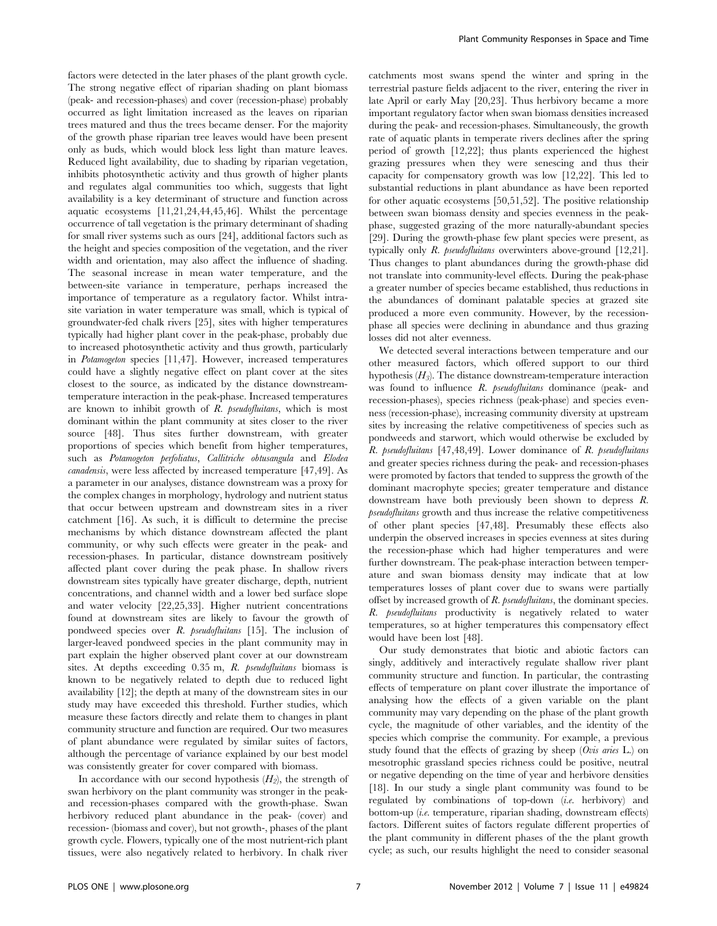factors were detected in the later phases of the plant growth cycle. The strong negative effect of riparian shading on plant biomass (peak- and recession-phases) and cover (recession-phase) probably occurred as light limitation increased as the leaves on riparian trees matured and thus the trees became denser. For the majority of the growth phase riparian tree leaves would have been present only as buds, which would block less light than mature leaves. Reduced light availability, due to shading by riparian vegetation, inhibits photosynthetic activity and thus growth of higher plants and regulates algal communities too which, suggests that light availability is a key determinant of structure and function across aquatic ecosystems [11,21,24,44,45,46]. Whilst the percentage occurrence of tall vegetation is the primary determinant of shading for small river systems such as ours [24], additional factors such as the height and species composition of the vegetation, and the river width and orientation, may also affect the influence of shading. The seasonal increase in mean water temperature, and the between-site variance in temperature, perhaps increased the importance of temperature as a regulatory factor. Whilst intrasite variation in water temperature was small, which is typical of groundwater-fed chalk rivers [25], sites with higher temperatures typically had higher plant cover in the peak-phase, probably due to increased photosynthetic activity and thus growth, particularly in Potamogeton species [11,47]. However, increased temperatures could have a slightly negative effect on plant cover at the sites closest to the source, as indicated by the distance downstreamtemperature interaction in the peak-phase. Increased temperatures are known to inhibit growth of  $R$ . pseudofluitans, which is most dominant within the plant community at sites closer to the river source [48]. Thus sites further downstream, with greater proportions of species which benefit from higher temperatures, such as Potamogeton perfoliatus, Callitriche obtusangula and Elodea canadensis, were less affected by increased temperature [47,49]. As a parameter in our analyses, distance downstream was a proxy for the complex changes in morphology, hydrology and nutrient status that occur between upstream and downstream sites in a river catchment [16]. As such, it is difficult to determine the precise mechanisms by which distance downstream affected the plant community, or why such effects were greater in the peak- and recession-phases. In particular, distance downstream positively affected plant cover during the peak phase. In shallow rivers downstream sites typically have greater discharge, depth, nutrient concentrations, and channel width and a lower bed surface slope and water velocity [22,25,33]. Higher nutrient concentrations found at downstream sites are likely to favour the growth of pondweed species over R. pseudofluitans [15]. The inclusion of larger-leaved pondweed species in the plant community may in part explain the higher observed plant cover at our downstream sites. At depths exceeding 0.35 m, R. pseudofluitans biomass is known to be negatively related to depth due to reduced light availability [12]; the depth at many of the downstream sites in our study may have exceeded this threshold. Further studies, which measure these factors directly and relate them to changes in plant community structure and function are required. Our two measures of plant abundance were regulated by similar suites of factors, although the percentage of variance explained by our best model was consistently greater for cover compared with biomass.

In accordance with our second hypothesis  $(H_2)$ , the strength of swan herbivory on the plant community was stronger in the peakand recession-phases compared with the growth-phase. Swan herbivory reduced plant abundance in the peak- (cover) and recession- (biomass and cover), but not growth-, phases of the plant growth cycle. Flowers, typically one of the most nutrient-rich plant tissues, were also negatively related to herbivory. In chalk river

catchments most swans spend the winter and spring in the terrestrial pasture fields adjacent to the river, entering the river in late April or early May [20,23]. Thus herbivory became a more important regulatory factor when swan biomass densities increased during the peak- and recession-phases. Simultaneously, the growth rate of aquatic plants in temperate rivers declines after the spring period of growth [12,22]; thus plants experienced the highest grazing pressures when they were senescing and thus their capacity for compensatory growth was low [12,22]. This led to substantial reductions in plant abundance as have been reported for other aquatic ecosystems [50,51,52]. The positive relationship between swan biomass density and species evenness in the peakphase, suggested grazing of the more naturally-abundant species [29]. During the growth-phase few plant species were present, as typically only R. pseudofluitans overwinters above-ground [12,21]. Thus changes to plant abundances during the growth-phase did not translate into community-level effects. During the peak-phase a greater number of species became established, thus reductions in the abundances of dominant palatable species at grazed site produced a more even community. However, by the recessionphase all species were declining in abundance and thus grazing losses did not alter evenness.

We detected several interactions between temperature and our other measured factors, which offered support to our third hypothesis  $(H_3)$ . The distance downstream-temperature interaction was found to influence R. pseudofluitans dominance (peak- and recession-phases), species richness (peak-phase) and species evenness (recession-phase), increasing community diversity at upstream sites by increasing the relative competitiveness of species such as pondweeds and starwort, which would otherwise be excluded by R. pseudofluitans [47,48,49]. Lower dominance of R. pseudofluitans and greater species richness during the peak- and recession-phases were promoted by factors that tended to suppress the growth of the dominant macrophyte species; greater temperature and distance downstream have both previously been shown to depress R. pseudofluitans growth and thus increase the relative competitiveness of other plant species [47,48]. Presumably these effects also underpin the observed increases in species evenness at sites during the recession-phase which had higher temperatures and were further downstream. The peak-phase interaction between temperature and swan biomass density may indicate that at low temperatures losses of plant cover due to swans were partially offset by increased growth of R. pseudofluitans, the dominant species. R. pseudofluitans productivity is negatively related to water temperatures, so at higher temperatures this compensatory effect would have been lost [48].

Our study demonstrates that biotic and abiotic factors can singly, additively and interactively regulate shallow river plant community structure and function. In particular, the contrasting effects of temperature on plant cover illustrate the importance of analysing how the effects of a given variable on the plant community may vary depending on the phase of the plant growth cycle, the magnitude of other variables, and the identity of the species which comprise the community. For example, a previous study found that the effects of grazing by sheep (Ovis aries L.) on mesotrophic grassland species richness could be positive, neutral or negative depending on the time of year and herbivore densities [18]. In our study a single plant community was found to be regulated by combinations of top-down (i.e. herbivory) and bottom-up  $(i.e.$  temperature, riparian shading, downstream effects) factors. Different suites of factors regulate different properties of the plant community in different phases of the the plant growth cycle; as such, our results highlight the need to consider seasonal